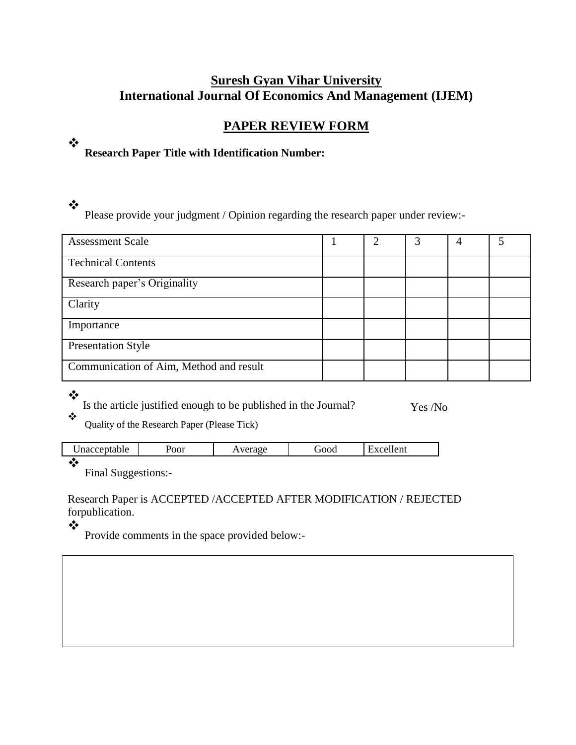# **Suresh Gyan Vihar University International Journal Of Economics And Management (IJEM)**

# **PAPER REVIEW FORM**

# **Research Paper Title with Identification Number:**

## ❖

 $\frac{1}{2}$ 

Please provide your judgment / Opinion regarding the research paper under review:-

| <b>Assessment Scale</b>                 | 2 | 3 |  |
|-----------------------------------------|---|---|--|
| <b>Technical Contents</b>               |   |   |  |
| Research paper's Originality            |   |   |  |
| Clarity                                 |   |   |  |
| Importance                              |   |   |  |
| <b>Presentation Style</b>               |   |   |  |
| Communication of Aim, Method and result |   |   |  |

#### ❖ Is the article justified enough to be published in the Journal? Yes /No  $\ddot{\bullet}$

Quality of the Research Paper (Please Tick)

| Jnacceptable | ∽<br>oor | ra o e | <b>JOOG</b> | - -<br>lent |
|--------------|----------|--------|-------------|-------------|
|              |          |        |             |             |

Final Suggestions:-

Research Paper is ACCEPTED /ACCEPTED AFTER MODIFICATION / REJECTED forpublication.

 $\bullet^{\bullet}_{\Phi}$ 

Provide comments in the space provided below:-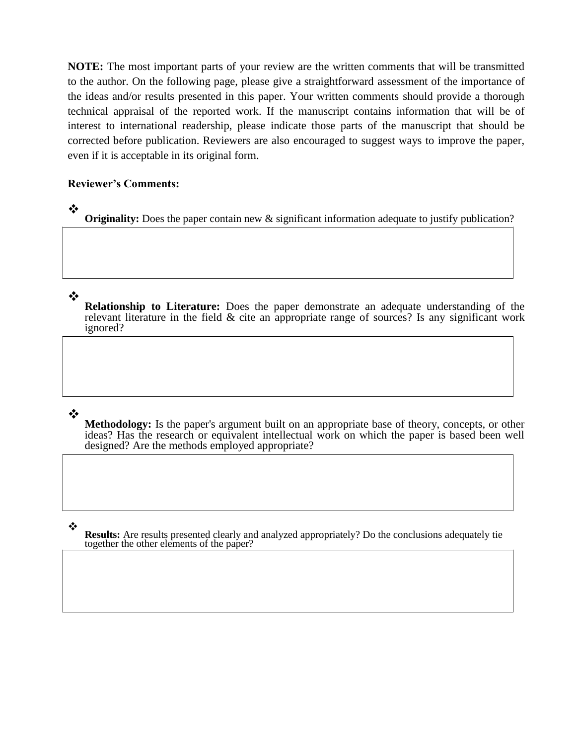**NOTE:** The most important parts of your review are the written comments that will be transmitted to the author. On the following page, please give a straightforward assessment of the importance of the ideas and/or results presented in this paper. Your written comments should provide a thorough technical appraisal of the reported work. If the manuscript contains information that will be of interest to international readership, please indicate those parts of the manuscript that should be corrected before publication. Reviewers are also encouraged to suggest ways to improve the paper, even if it is acceptable in its original form.

### **Reviewer's Comments:**

**Originality:** Does the paper contain new & significant information adequate to justify publication?

### ❖

❖

**Relationship to Literature:** Does the paper demonstrate an adequate understanding of the relevant literature in the field & cite an appropriate range of sources? Is any significant work ignored?

### $\cdot$

**Methodology:** Is the paper's argument built on an appropriate base of theory, concepts, or other ideas? Has the research or equivalent intellectual work on which the paper is based been well designed? Are the methods employed appropriate?

❖

**Results:** Are results presented clearly and analyzed appropriately? Do the conclusions adequately tie together the other elements of the paper?